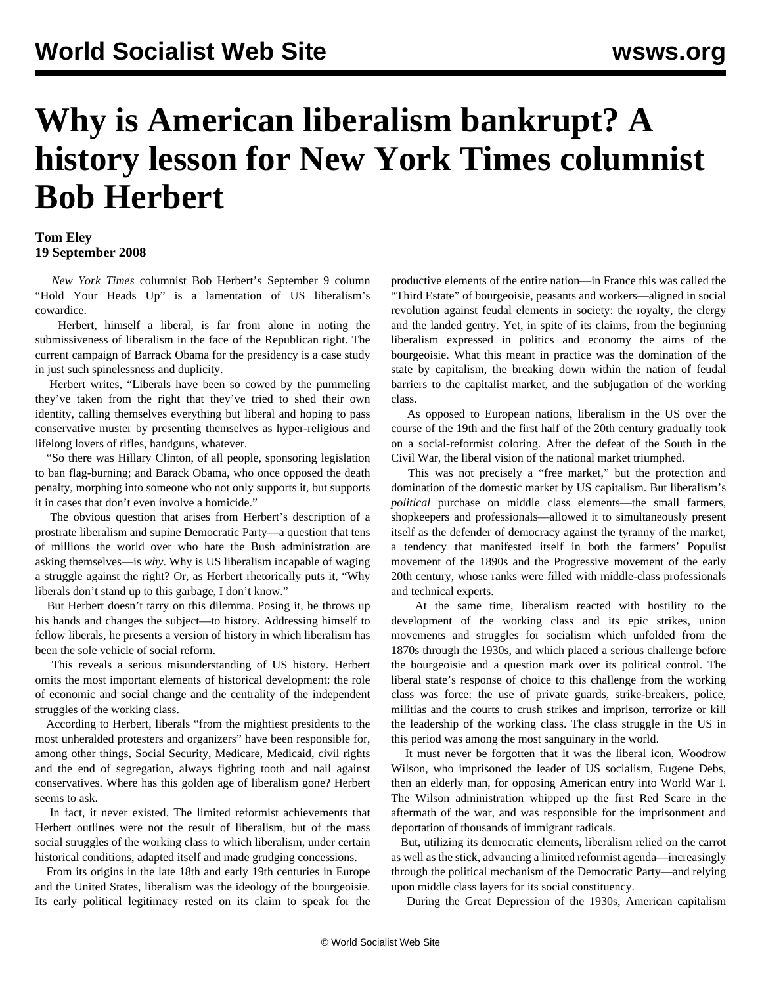## **Why is American liberalism bankrupt? A history lesson for New York Times columnist Bob Herbert**

## **Tom Eley 19 September 2008**

 *New York Times* columnist Bob Herbert's September 9 column "Hold Your Heads Up" is a lamentation of US liberalism's cowardice.

 Herbert, himself a liberal, is far from alone in noting the submissiveness of liberalism in the face of the Republican right. The current campaign of Barrack Obama for the presidency is a case study in just such spinelessness and duplicity.

 Herbert writes, "Liberals have been so cowed by the pummeling they've taken from the right that they've tried to shed their own identity, calling themselves everything but liberal and hoping to pass conservative muster by presenting themselves as hyper-religious and lifelong lovers of rifles, handguns, whatever.

 "So there was Hillary Clinton, of all people, sponsoring legislation to ban flag-burning; and Barack Obama, who once opposed the death penalty, morphing into someone who not only supports it, but supports it in cases that don't even involve a homicide."

 The obvious question that arises from Herbert's description of a prostrate liberalism and supine Democratic Party—a question that tens of millions the world over who hate the Bush administration are asking themselves—is *why*. Why is US liberalism incapable of waging a struggle against the right? Or, as Herbert rhetorically puts it, "Why liberals don't stand up to this garbage, I don't know."

 But Herbert doesn't tarry on this dilemma. Posing it, he throws up his hands and changes the subject—to history. Addressing himself to fellow liberals, he presents a version of history in which liberalism has been the sole vehicle of social reform.

 This reveals a serious misunderstanding of US history. Herbert omits the most important elements of historical development: the role of economic and social change and the centrality of the independent struggles of the working class.

 According to Herbert, liberals "from the mightiest presidents to the most unheralded protesters and organizers" have been responsible for, among other things, Social Security, Medicare, Medicaid, civil rights and the end of segregation, always fighting tooth and nail against conservatives. Where has this golden age of liberalism gone? Herbert seems to ask.

 In fact, it never existed. The limited reformist achievements that Herbert outlines were not the result of liberalism, but of the mass social struggles of the working class to which liberalism, under certain historical conditions, adapted itself and made grudging concessions.

 From its origins in the late 18th and early 19th centuries in Europe and the United States, liberalism was the ideology of the bourgeoisie. Its early political legitimacy rested on its claim to speak for the

productive elements of the entire nation—in France this was called the "Third Estate" of bourgeoisie, peasants and workers—aligned in social revolution against feudal elements in society: the royalty, the clergy and the landed gentry. Yet, in spite of its claims, from the beginning liberalism expressed in politics and economy the aims of the bourgeoisie. What this meant in practice was the domination of the state by capitalism, the breaking down within the nation of feudal barriers to the capitalist market, and the subjugation of the working class.

 As opposed to European nations, liberalism in the US over the course of the 19th and the first half of the 20th century gradually took on a social-reformist coloring. After the defeat of the South in the Civil War, the liberal vision of the national market triumphed.

 This was not precisely a "free market," but the protection and domination of the domestic market by US capitalism. But liberalism's *political* purchase on middle class elements—the small farmers, shopkeepers and professionals—allowed it to simultaneously present itself as the defender of democracy against the tyranny of the market, a tendency that manifested itself in both the farmers' Populist movement of the 1890s and the Progressive movement of the early 20th century, whose ranks were filled with middle-class professionals and technical experts.

 At the same time, liberalism reacted with hostility to the development of the working class and its epic strikes, union movements and struggles for socialism which unfolded from the 1870s through the 1930s, and which placed a serious challenge before the bourgeoisie and a question mark over its political control. The liberal state's response of choice to this challenge from the working class was force: the use of private guards, strike-breakers, police, militias and the courts to crush strikes and imprison, terrorize or kill the leadership of the working class. The class struggle in the US in this period was among the most sanguinary in the world.

 It must never be forgotten that it was the liberal icon, Woodrow Wilson, who imprisoned the leader of US socialism, Eugene Debs, then an elderly man, for opposing American entry into World War I. The Wilson administration whipped up the first Red Scare in the aftermath of the war, and was responsible for the imprisonment and deportation of thousands of immigrant radicals.

 But, utilizing its democratic elements, liberalism relied on the carrot as well as the stick, advancing a limited reformist agenda—increasingly through the political mechanism of the Democratic Party—and relying upon middle class layers for its social constituency.

During the Great Depression of the 1930s, American capitalism